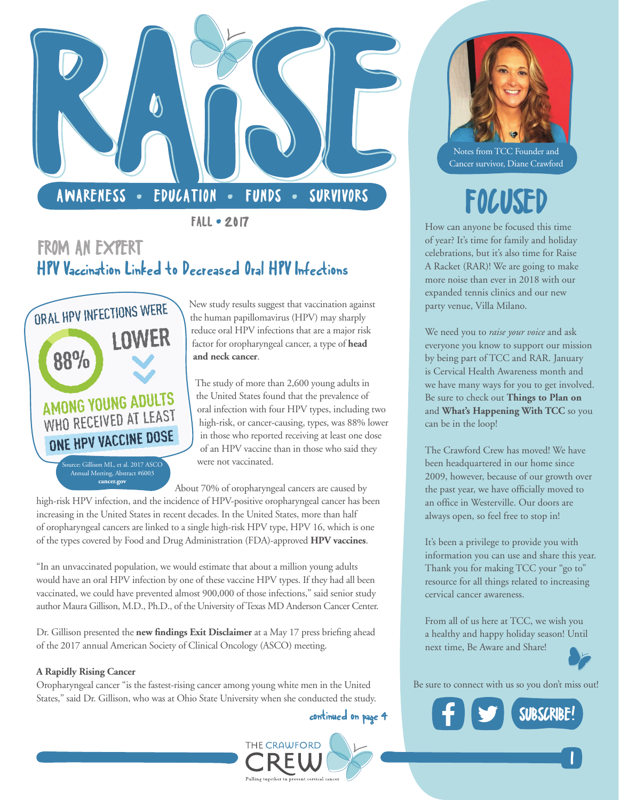

 $FALL - 2017$ 

### FROM AN EXPERT HPV Vaccination Linked to Decreased Oral HPV Infections



New study results suggest that vaccination against the human papillomavirus (HPV) may sharply reduce oral HPV infections that are a major risk factor for oropharyngeal cancer, a type of **[head](https://www.cancer.gov/types/head-and-neck)  [and neck cancer](https://www.cancer.gov/types/head-and-neck)**.

The study of more than 2,600 young adults in the United States found that the prevalence of oral infection with four HPV types, including two high-risk, or cancer-causing, types, was 88% lower in those who reported receiving at least one dose of an HPV vaccine than in those who said they were not vaccinated.

About 70% of oropharyngeal cancers are caused by

high-risk HPV infection, and the incidence of HPV-positive oropharyngeal cancer has been increasing in the United States in recent decades. In the United States, more than half of oropharyngeal cancers are linked to a single high-risk HPV type, HPV 16, which is one of the types covered by Food and Drug Administration (FDA)-approved **[HPV vaccines](https://www.cancer.gov/about-cancer/causes-prevention/risk/infectious-agents/hpv-vaccine-fact-sheet)**.

"In an unvaccinated population, we would estimate that about a million young adults would have an oral HPV infection by one of these vaccine HPV types. If they had all been vaccinated, we could have prevented almost 900,000 of those infections," said senior study author Maura Gillison, M.D., Ph.D., of the University of Texas MD Anderson Cancer Center.

Dr. Gillison presented the **[new findings Exit Disclaimer](https://www.cancer.gov/policies/linking)** at a May 17 press briefing ahead of the 2017 annual American Society of Clinical Oncology (ASCO) meeting.

### **A Rapidly Rising Cancer**

Oropharyngeal cancer "is the fastest-rising cancer among young white men in the United States," said Dr. Gillison, who was at Ohio State University when she conducted the study.

continued on page 4



Notes from TCC Founder and Cancer survivor, Diane Crawford

# FOCUSED

How can anyone be focused this time of year? It's time for family and holiday celebrations, but it's also time for [Raise](http://thecrawfordcrew.org/event/raise-a-racket/)  [A Racket \(RAR\)!](http://thecrawfordcrew.org/event/raise-a-racket/) We are going to make more noise than ever in 2018 with our expanded tennis clinics and our new party venue, Villa Milano.

We need you to *raise your voice* and ask everyone you know to support our mission by being part of TCC and RAR. January is Cervical Health Awareness month and we have many ways for you to get involved. Be sure to check out **[Things to Plan on](#page-1-0)** and **[What's Happening With TCC](#page-2-0)** so you can be in the loop!

The Crawford Crew has moved! We have been headquartered in our home since 2009, however, because of our growth over the past year, we have officially moved to an office in Westerville. Our doors are always open, so feel free to stop in!

It's been a privilege to provide you with information you can use and share this year. Thank you for making TCC your "go to" resource for all things related to increasing cervical cancer awareness.

From all of us here at TCC, we wish you a healthy and happy holiday season! Until next time, Be Aware and Share!



**1** 

Be sure to connect with us so you don't miss out!

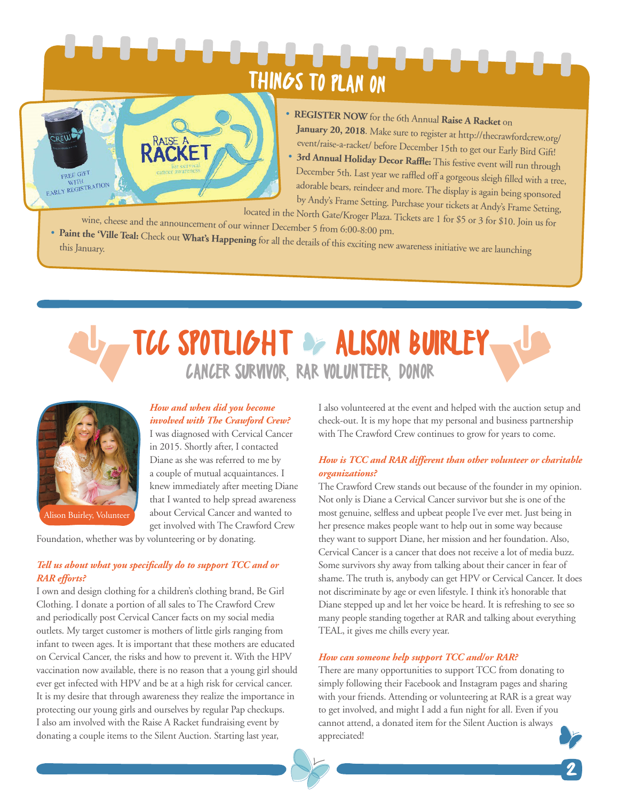# THINGS TO PLAN ON

<span id="page-1-0"></span>

- **[REGISTER NOW](http://events.r20.constantcontact.com/register/event?oeidk=a07edyt18wxa8ec72fb&llr=hs4qd4zab)** for the 6th Annual **[Raise A Racket](http://thecrawfordcrew.org/event/raise-a-racket/)** on **January 20, 2018**. Make sure to register at [http://thecrawfordcrew.org/](http://thecrawfordcrew.org/event/raise-a-racket/) [event/raise-a-racket/](http://thecrawfordcrew.org/event/raise-a-racket/) before December 15th to get our Early Bird Gift!
- **3rd Annual Holiday Decor Raffle:** This festive event will run through December 5th. Last year we raffled off a gorgeous sleigh filled with a tree, adorable bears, reindeer and more. The display is again being sponsored by [Andy's Frame Setting.](http://www.andysframesetting.com/) Purchase your tickets at Andy's Frame Setting,

located in the North Gate/Kroger Plaza. Tickets are 1 for \$5 or 3 for \$10. Join us for wine, cheese and the announcement of our winner December 5 from 6:00-8:00 pm. • **[Paint the 'Ville Teal:](http://www.paintthevilleteal.org/)** Check out **[What's Happening](#page-2-0)** for all the details of this exciting new awareness initiative we are launching this January.

## TCC SPOTLIGHT OF ALISON BUIRLEY. CANCER SURVIVOR, RAR VOLUNTEER, DONOR



Alison Buirley, Volunteer

### *How and when did you become involved with The Crawford Crew?*

I was diagnosed with Cervical Cancer in 2015. Shortly after, I contacted Diane as she was referred to me by a couple of mutual acquaintances. I knew immediately after meeting Diane that I wanted to help spread awareness about Cervical Cancer and wanted to get involved with [The Crawford Crew](http://thecrawfordcrew.org/) 

[Foundation,](http://thecrawfordcrew.org/) whether was by [volunteering](http://thecrawfordcrew.org/about-cervical-cancer-prevention/join-us/) or by [donating.](http://thecrawfordcrew.org/about-cervical-cancer-prevention/join-us/) 

### *Tell us about what you specifically do to support TCC and or RAR efforts?*

I own and design clothing for a children's clothing brand, [Be Girl](https://www.begirlclothing.com/)  [Clothing.](https://www.begirlclothing.com/) I donate a portion of all sales to The Crawford Crew and periodically post Cervical Cancer facts on my social media outlets. My target customer is mothers of little girls ranging from infant to tween ages. It is important that these mothers are educated on Cervical Cancer, the risks and how to prevent it. With the HPV vaccination now available, there is no reason that a young girl should ever get infected with HPV and be at a high risk for cervical cancer. It is my desire that through awareness they realize the importance in protecting our young girls and ourselves by regular Pap checkups. I also am involved with th[e Raise A Racket](http://thecrawfordcrew.org/event/raise-a-racket/) fundraising event by donating a couple items to the Silent Auction. Starting last year,

I also volunteered at the event and helped with the auction setup and check-out. It is my hope that my personal and business partnership with The Crawford Crew continues to grow for years to come.

### *How is TCC and RAR different than other volunteer or charitable organizations?*

The Crawford Crew stands out because of the founder in my opinion. Not only is Diane a Cervical Cancer survivor but she is one of the most genuine, selfless and upbeat people I've ever met. Just being in her presence makes people want to help out in some way because they want to support Diane, her mission and her foundation. Also, Cervical Cancer is a cancer that does not receive a lot of media buzz. Some survivors shy away from talking about their cancer in fear of shame. The truth is, anybody can get HPV or Cervical Cancer. It does not discriminate by age or even lifestyle. I think it's honorable that Diane stepped up and let her voice be heard. It is refreshing to see so many people standing together at RAR and talking about everything TEAL, it gives me chills every year.

### *How can someone help support TCC and/or RAR?*

There are many opportunities to support TCC from [donating](http://thecrawfordcrew.org/donate/) to simply following their [Facebook](https://www.facebook.com/TheCrawfordCrewFoundation/) and [Instagram](https://www.instagram.com/thecrawfordcrew/) pages and sharing with your friends. Attending or volunteering at [RAR](http://thecrawfordcrew.org/event/raise-a-racket/) is a great way to get involved, and might I add a fun night for all. Even if you cannot attend, a donated item for the Silent Auction is always appreciated!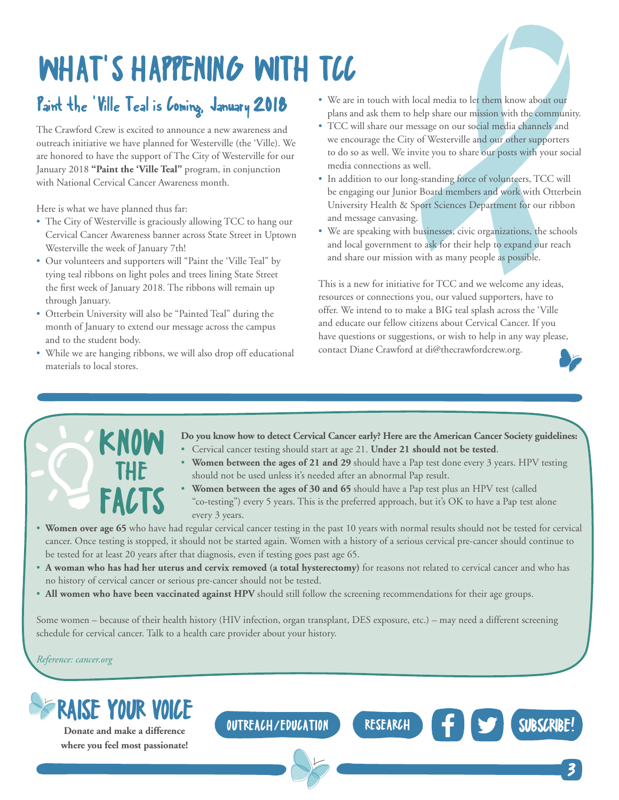# <span id="page-2-0"></span>WHAT'S HAPPENING WITH TCC

### Paint the 'Ville Teal is Coming, January 2018

The Crawford Crew is excited to announce a new awareness and outreach initiative we have planned for Westerville (the 'Ville). We are honored to have the support of The City of Westerville for our January 2018 **["Paint the 'Ville Teal"](http://www.paintthevilleteal.org/)** program, in conjunction with National Cervical Cancer Awareness month.

Here is what we have planned thus far:

- The City of Westerville is graciously allowing TCC to hang our Cervical Cancer Awareness banner across State Street in Uptown Westerville the week of January 7th!
- Our volunteers and supporters will "Paint the 'Ville Teal" by tying teal ribbons on light poles and trees lining State Street the first week of January 2018. The ribbons will remain up through January.
- [Otterbein University](http://otterbein.edu/) will also be "Painted Teal" during the month of January to extend our message across the campus and to the student body.

KNOW

THE

**FACTS** 

• While we are hanging ribbons, we will also drop off educational materials to local stores.

- We are in touch with local media to let them know about our plans and ask them to help share our mission with the community.
- TCC will share our message on our social media channels and we encourage the City of Westerville and our other supporters to do so as well. We invite you to share our posts with your social media connections as well.
- In addition to our long-standing force of volunteers, TCC will be engaging our Junior Board members and work with [Otterbein](http://www.otterbein.edu/public/Academics/Departments/HealthandSportSciences.aspx)  [University Health & Sport Sciences Department](http://www.otterbein.edu/public/Academics/Departments/HealthandSportSciences.aspx) for our ribbon and message canvasing.
- We are speaking with businesses, civic organizations, the schools and local government to ask for their help to expand our reach and share our mission with as many people as possible.

This is a new for initiative for TCC and we welcome any ideas, resources or connections you, our valued supporters, have to offer. We intend to to make a BIG teal splash across the 'Ville and educate our fellow citizens about Cervical Cancer. If you have questions or suggestions, or wish to help in any way please, contact Diane Crawford at di@thecrawfordcrew.org.

- **Do you know how to detect Cervical Cancer early? Here are the [American Cancer Society guidelines:](https://www.cancer.org/cancer/cervical-cancer.html)**
- Cervical cancer testing should start at age 21. **Under 21 should not be tested**.
- **Women between the ages of 21 and 29** should have a Pap test done every 3 years. HPV testing should not be used unless it's needed after an abnormal Pap result.
- **Women between the ages of 30 and 65** should have a Pap test plus an HPV test (called "co-testing") every 5 years. This is the preferred approach, but it's OK to have a Pap test alone every 3 years.
- **Women over age 65** who have had regular cervical cancer testing in the past 10 years with normal results should not be tested for cervical cancer. Once testing is stopped, it should not be started again. Women with a history of a serious cervical pre-cancer should continue to be tested for at least 20 years after that diagnosis, even if testing goes past age 65.
- **A woman who has had her uterus and cervix removed (a total hysterectomy)** for reasons not related to cervical cancer and who has no history of cervical cancer or serious pre-cancer should not be tested.
- **All women who have been vaccinated against HPV** should still follow the screening recommendations for their age groups.

Some women – because of their health history (HIV infection, organ transplant, DES exposure, etc.) – may need a different screening schedule for cervical cancer. Talk to a health care provider about your history.

### *Reference: [cancer.org](https://www.cancer.org/)*



**where you feel most passionate!**

OUTREACH/EDUCATION RESEARCH F ST [SUBSCRIBE!](http://thecrawfordcrew.org/contact-us/newsletter-signup/)